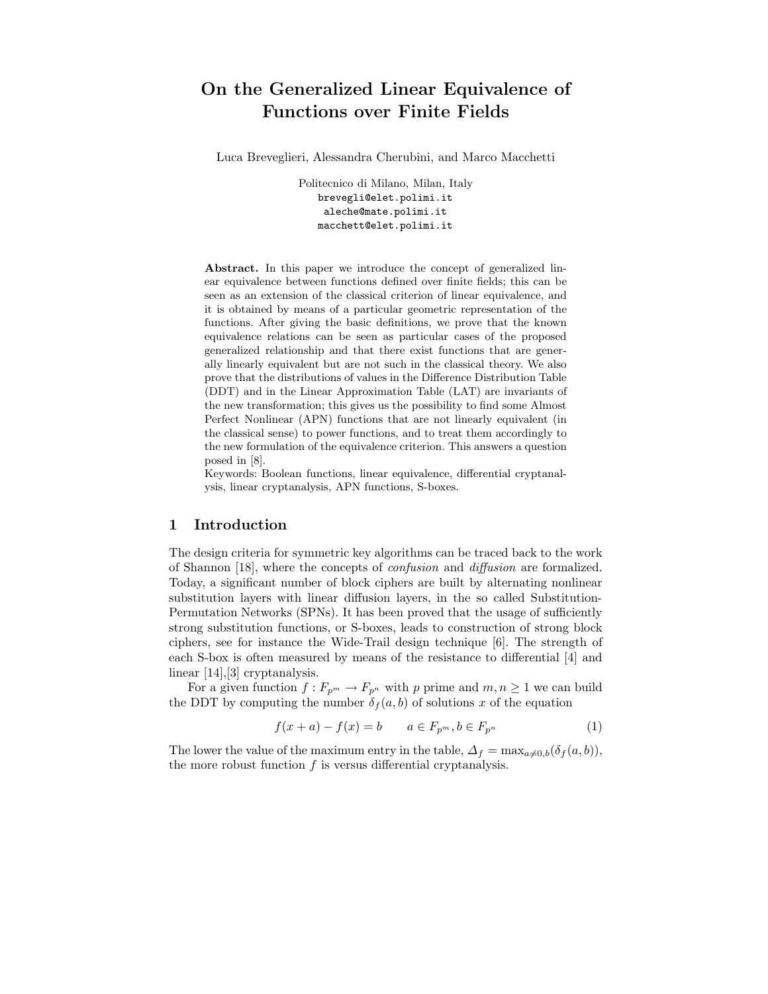# On the Generalized Linear Equivalence of Functions over Finite Fields

Luca Breveglieri, Alessandra Cherubini, and Marco Macchetti

Politecnico di Milano, Milan, Italy brevegli@elet.polimi.it aleche@mate.polimi.it macchett@elet.polimi.it

Abstract. In this paper we introduce the concept of generalized linear equivalence between functions defined over finite fields; this can be seen as an extension of the classical criterion of linear equivalence, and it is obtained by means of a particular geometric representation of the functions. After giving the basic definitions, we prove that the known equivalence relations can be seen as particular cases of the proposed generalized relationship and that there exist functions that are generally linearly equivalent but are not such in the classical theory. We also prove that the distributions of values in the Difference Distribution Table (DDT) and in the Linear Approximation Table (LAT) are invariants of the new transformation; this gives us the possibility to find some Almost Perfect Nonlinear (APN) functions that are not linearly equivalent (in the classical sense) to power functions, and to treat them accordingly to the new formulation of the equivalence criterion. This answers a question posed in [8].

Keywords: Boolean functions, linear equivalence, differential cryptanalysis, linear cryptanalysis, APN functions, S-boxes.

## 1 Introduction

The design criteria for symmetric key algorithms can be traced back to the work of Shannon [18], where the concepts of confusion and diffusion are formalized. Today, a significant number of block ciphers are built by alternating nonlinear substitution layers with linear diffusion layers, in the so called Substitution-Permutation Networks (SPNs). It has been proved that the usage of sufficiently strong substitution functions, or S-boxes, leads to construction of strong block ciphers, see for instance the Wide-Trail design technique [6]. The strength of each S-box is often measured by means of the resistance to differential [4] and linear [14],[3] cryptanalysis.

For a given function  $f : F_{p^m} \to F_{p^n}$  with p prime and  $m, n \ge 1$  we can build the DDT by computing the number  $\delta_f(a, b)$  of solutions x of the equation

$$
f(x+a) - f(x) = b \qquad a \in F_{p^m}, b \in F_{p^n}
$$
 (1)

The lower the value of the maximum entry in the table,  $\Delta_f = \max_{a \neq 0,b} (\delta_f(a, b)),$ the more robust function  $f$  is versus differential cryptanalysis.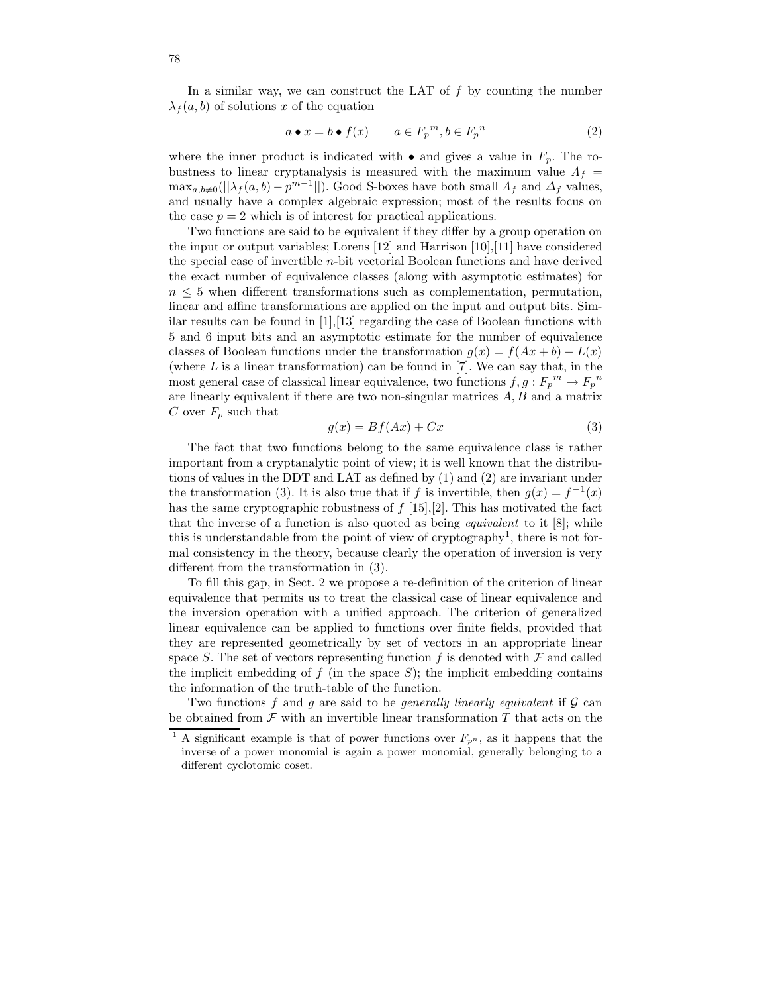In a similar way, we can construct the LAT of  $f$  by counting the number  $\lambda_f(a, b)$  of solutions x of the equation

$$
a \bullet x = b \bullet f(x) \qquad a \in F_p^m, b \in F_p^n \tag{2}
$$

where the inner product is indicated with  $\bullet$  and gives a value in  $F_p$ . The robustness to linear cryptanalysis is measured with the maximum value  $\Lambda_f$  =  $\max_{a,b\neq0} (||\lambda_f(a,b)-p^{m-1}||)$ . Good S-boxes have both small  $\Lambda_f$  and  $\Delta_f$  values, and usually have a complex algebraic expression; most of the results focus on the case  $p = 2$  which is of interest for practical applications.

Two functions are said to be equivalent if they differ by a group operation on the input or output variables; Lorens [12] and Harrison [10],[11] have considered the special case of invertible  $n$ -bit vectorial Boolean functions and have derived the exact number of equivalence classes (along with asymptotic estimates) for  $n \leq 5$  when different transformations such as complementation, permutation, linear and affine transformations are applied on the input and output bits. Similar results can be found in  $[1], [13]$  regarding the case of Boolean functions with 5 and 6 input bits and an asymptotic estimate for the number of equivalence classes of Boolean functions under the transformation  $g(x) = f(Ax + b) + L(x)$ (where  $L$  is a linear transformation) can be found in [7]. We can say that, in the most general case of classical linear equivalence, two functions  $f, g: F_p^m \to F_p^m$ are linearly equivalent if there are two non-singular matrices  $A, B$  and a matrix C over  $F_p$  such that

$$
g(x) = Bf(Ax) + Cx \tag{3}
$$

The fact that two functions belong to the same equivalence class is rather important from a cryptanalytic point of view; it is well known that the distributions of values in the DDT and LAT as defined by (1) and (2) are invariant under the transformation (3). It is also true that if f is invertible, then  $g(x) = f^{-1}(x)$ has the same cryptographic robustness of  $f(15)$ , [2]. This has motivated the fact that the inverse of a function is also quoted as being *equivalent* to it  $[8]$ ; while this is understandable from the point of view of cryptography 1 , there is not formal consistency in the theory, because clearly the operation of inversion is very different from the transformation in (3).

To fill this gap, in Sect. 2 we propose a re-definition of the criterion of linear equivalence that permits us to treat the classical case of linear equivalence and the inversion operation with a unified approach. The criterion of generalized linear equivalence can be applied to functions over finite fields, provided that they are represented geometrically by set of vectors in an appropriate linear space S. The set of vectors representing function f is denoted with  $\mathcal F$  and called the implicit embedding of f (in the space  $S$ ); the implicit embedding contains the information of the truth-table of the function.

Two functions f and g are said to be generally linearly equivalent if  $\mathcal G$  can be obtained from  $\mathcal F$  with an invertible linear transformation  $T$  that acts on the

<sup>&</sup>lt;sup>1</sup> A significant example is that of power functions over  $F_{p^n}$ , as it happens that the inverse of a power monomial is again a power monomial, generally belonging to a different cyclotomic coset.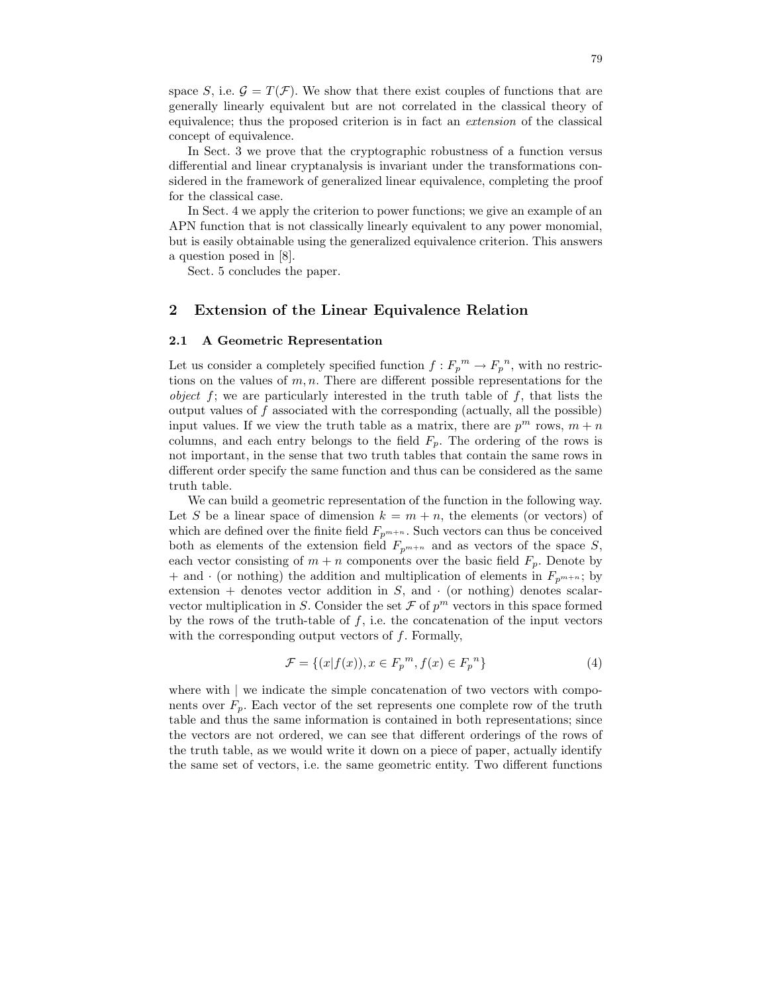space S, i.e.  $\mathcal{G} = T(\mathcal{F})$ . We show that there exist couples of functions that are generally linearly equivalent but are not correlated in the classical theory of equivalence; thus the proposed criterion is in fact an extension of the classical concept of equivalence.

In Sect. 3 we prove that the cryptographic robustness of a function versus differential and linear cryptanalysis is invariant under the transformations considered in the framework of generalized linear equivalence, completing the proof for the classical case.

In Sect. 4 we apply the criterion to power functions; we give an example of an APN function that is not classically linearly equivalent to any power monomial, but is easily obtainable using the generalized equivalence criterion. This answers a question posed in [8].

Sect. 5 concludes the paper.

# 2 Extension of the Linear Equivalence Relation

#### 2.1 A Geometric Representation

Let us consider a completely specified function  $f: F_p^m \to F_p^n$ , with no restrictions on the values of  $m, n$ . There are different possible representations for the *object*  $f$ ; we are particularly interested in the truth table of  $f$ , that lists the output values of  $f$  associated with the corresponding (actually, all the possible) input values. If we view the truth table as a matrix, there are  $p^m$  rows,  $m + n$ columns, and each entry belongs to the field  $F_p$ . The ordering of the rows is not important, in the sense that two truth tables that contain the same rows in different order specify the same function and thus can be considered as the same truth table.

We can build a geometric representation of the function in the following way. Let S be a linear space of dimension  $k = m + n$ , the elements (or vectors) of which are defined over the finite field  $F_{p^{m+n}}$ . Such vectors can thus be conceived both as elements of the extension field  $F_{p^{m+n}}$  and as vectors of the space S, each vector consisting of  $m + n$  components over the basic field  $F_p$ . Denote by + and  $\cdot$  (or nothing) the addition and multiplication of elements in  $F_{p^{m+n}}$ ; by extension  $+$  denotes vector addition in S, and  $\cdot$  (or nothing) denotes scalarvector multiplication in S. Consider the set  $\mathcal F$  of  $p^m$  vectors in this space formed by the rows of the truth-table of  $f$ , i.e. the concatenation of the input vectors with the corresponding output vectors of  $f$ . Formally,

$$
\mathcal{F} = \{(x|f(x)), x \in F_p^m, f(x) \in F_p^n\}
$$
\n
$$
(4)
$$

where with  $\vert$  we indicate the simple concatenation of two vectors with components over  $F_p$ . Each vector of the set represents one complete row of the truth table and thus the same information is contained in both representations; since the vectors are not ordered, we can see that different orderings of the rows of the truth table, as we would write it down on a piece of paper, actually identify the same set of vectors, i.e. the same geometric entity. Two different functions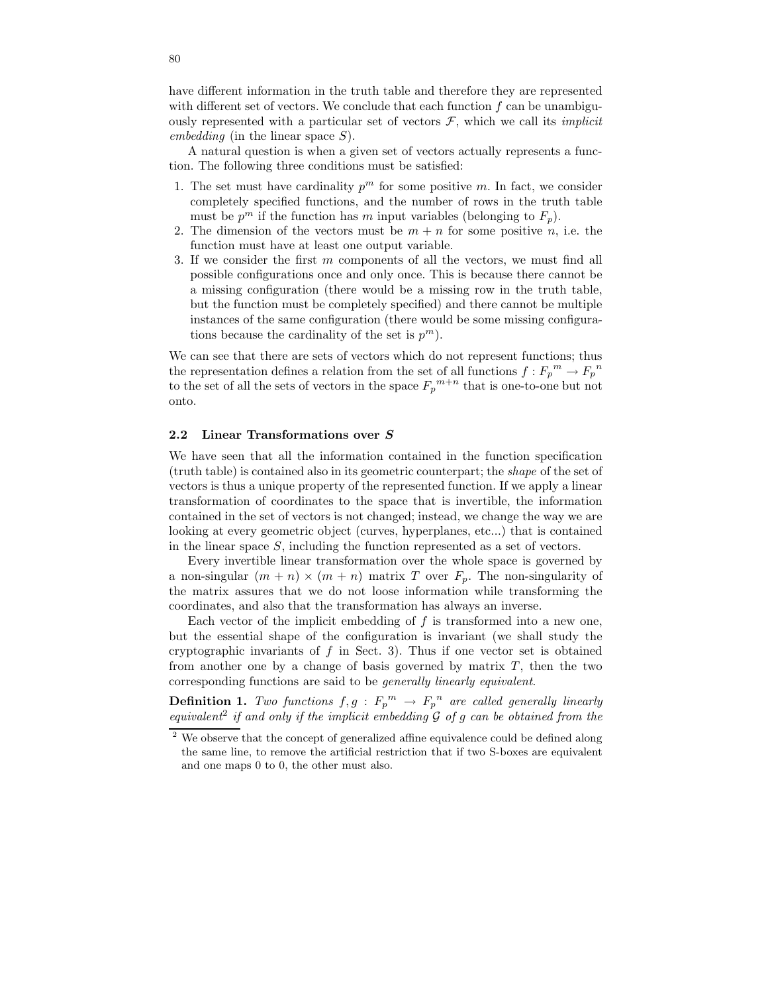have different information in the truth table and therefore they are represented with different set of vectors. We conclude that each function  $f$  can be unambiguously represented with a particular set of vectors  $\mathcal{F}$ , which we call its *implicit* embedding (in the linear space  $S$ ).

A natural question is when a given set of vectors actually represents a function. The following three conditions must be satisfied:

- 1. The set must have cardinality  $p^m$  for some positive m. In fact, we consider completely specified functions, and the number of rows in the truth table must be  $p^m$  if the function has m input variables (belonging to  $F_p$ ).
- 2. The dimension of the vectors must be  $m + n$  for some positive n, i.e. the function must have at least one output variable.
- 3. If we consider the first m components of all the vectors, we must find all possible configurations once and only once. This is because there cannot be a missing configuration (there would be a missing row in the truth table, but the function must be completely specified) and there cannot be multiple instances of the same configuration (there would be some missing configurations because the cardinality of the set is  $p^m$ ).

We can see that there are sets of vectors which do not represent functions; thus the representation defines a relation from the set of all functions  $f: F_p^m \to F_p^p$ to the set of all the sets of vectors in the space  $F_p^{m+n}$  that is one-to-one but not onto.

#### 2.2 Linear Transformations over S

We have seen that all the information contained in the function specification (truth table) is contained also in its geometric counterpart; the shape of the set of vectors is thus a unique property of the represented function. If we apply a linear transformation of coordinates to the space that is invertible, the information contained in the set of vectors is not changed; instead, we change the way we are looking at every geometric object (curves, hyperplanes, etc...) that is contained in the linear space  $S$ , including the function represented as a set of vectors.

Every invertible linear transformation over the whole space is governed by a non-singular  $(m + n) \times (m + n)$  matrix T over  $F_p$ . The non-singularity of the matrix assures that we do not loose information while transforming the coordinates, and also that the transformation has always an inverse.

Each vector of the implicit embedding of  $f$  is transformed into a new one, but the essential shape of the configuration is invariant (we shall study the cryptographic invariants of  $f$  in Sect. 3). Thus if one vector set is obtained from another one by a change of basis governed by matrix  $T$ , then the two corresponding functions are said to be generally linearly equivalent.

**Definition 1.** Two functions  $f, g : F_p^m \to F_p^n$  are called generally linearly equivalent<sup>2</sup> if and only if the implicit embedding  $\mathcal G$  of g can be obtained from the

<sup>&</sup>lt;sup>2</sup> We observe that the concept of generalized affine equivalence could be defined along the same line, to remove the artificial restriction that if two S-boxes are equivalent and one maps 0 to 0, the other must also.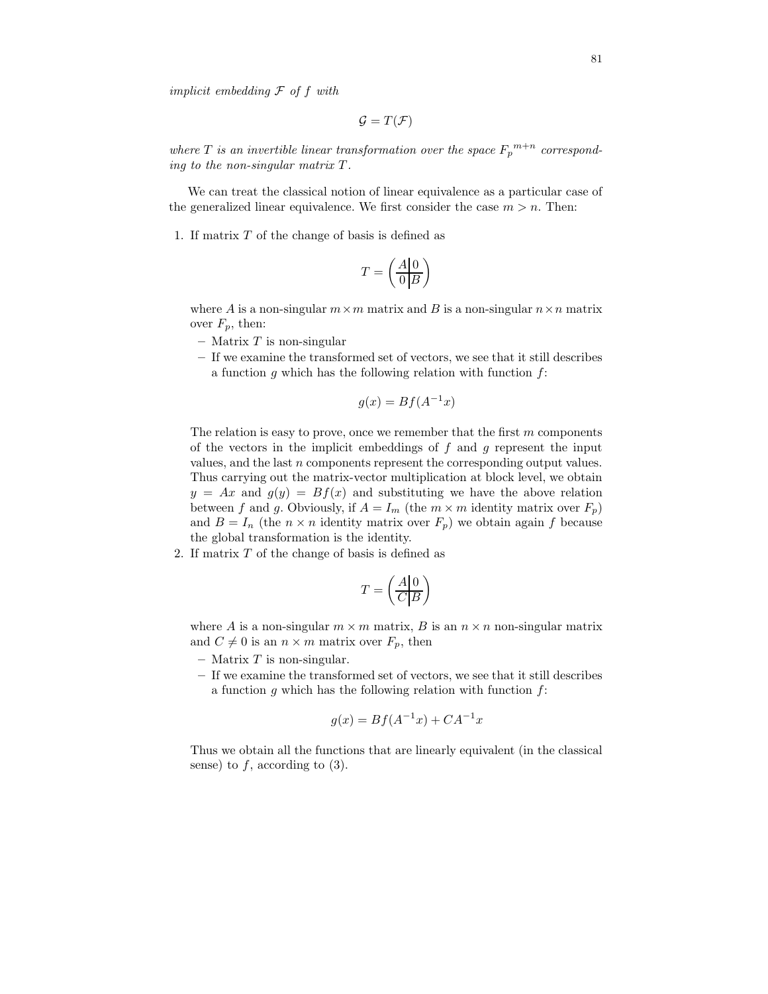implicit embedding  $F$  of  $f$  with

$$
\mathcal{G}=T(\mathcal{F})
$$

where T is an invertible linear transformation over the space  $F_p^{m+n}$  corresponding to the non-singular matrix T.

We can treat the classical notion of linear equivalence as a particular case of the generalized linear equivalence. We first consider the case  $m > n$ . Then:

1. If matrix T of the change of basis is defined as

$$
T = \left(\frac{A|0}{0|B}\right)
$$

where A is a non-singular  $m \times m$  matrix and B is a non-singular  $n \times n$  matrix over  $F_p$ , then:

- Matrix  $T$  is non-singular
- If we examine the transformed set of vectors, we see that it still describes a function  $g$  which has the following relation with function  $f$ :

$$
g(x) = Bf(A^{-1}x)
$$

The relation is easy to prove, once we remember that the first  $m$  components of the vectors in the implicit embeddings of  $f$  and  $g$  represent the input values, and the last n components represent the corresponding output values. Thus carrying out the matrix-vector multiplication at block level, we obtain  $y = Ax$  and  $g(y) = Bf(x)$  and substituting we have the above relation between f and g. Obviously, if  $A = I_m$  (the  $m \times m$  identity matrix over  $F_p$ ) and  $B = I_n$  (the  $n \times n$  identity matrix over  $F_p$ ) we obtain again f because the global transformation is the identity.

2. If matrix  $T$  of the change of basis is defined as

$$
T = \left(\frac{A|0}{C|B}\right)
$$

where A is a non-singular  $m \times m$  matrix, B is an  $n \times n$  non-singular matrix and  $C \neq 0$  is an  $n \times m$  matrix over  $F_p$ , then

- Matrix  $T$  is non-singular.
- If we examine the transformed set of vectors, we see that it still describes a function  $g$  which has the following relation with function  $f$ :

$$
g(x) = Bf(A^{-1}x) + CA^{-1}x
$$

Thus we obtain all the functions that are linearly equivalent (in the classical sense) to  $f$ , according to  $(3)$ .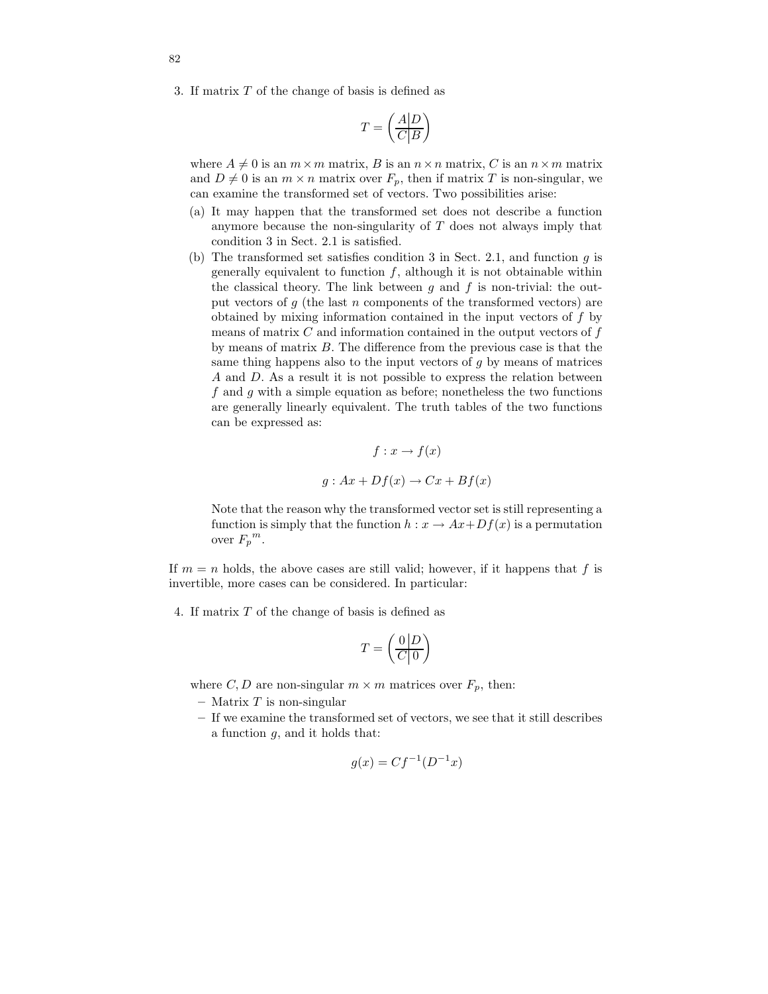3. If matrix T of the change of basis is defined as

$$
T = \left(\frac{A|D}{C|B}\right)
$$

where  $A \neq 0$  is an  $m \times m$  matrix, B is an  $n \times n$  matrix, C is an  $n \times m$  matrix and  $D \neq 0$  is an  $m \times n$  matrix over  $F_p$ , then if matrix T is non-singular, we can examine the transformed set of vectors. Two possibilities arise:

- (a) It may happen that the transformed set does not describe a function anymore because the non-singularity of  $T$  does not always imply that condition 3 in Sect. 2.1 is satisfied.
- (b) The transformed set satisfies condition 3 in Sect. 2.1, and function  $q$  is generally equivalent to function  $f$ , although it is not obtainable within the classical theory. The link between  $g$  and  $f$  is non-trivial: the output vectors of  $g$  (the last  $n$  components of the transformed vectors) are obtained by mixing information contained in the input vectors of  $f$  by means of matrix  $C$  and information contained in the output vectors of  $f$ by means of matrix B. The difference from the previous case is that the same thing happens also to the input vectors of  $g$  by means of matrices A and D. As a result it is not possible to express the relation between  $f$  and  $g$  with a simple equation as before; nonetheless the two functions are generally linearly equivalent. The truth tables of the two functions can be expressed as:

$$
f: x \to f(x)
$$

$$
g: Ax + Df(x) \to Cx + Bf(x)
$$

Note that the reason why the transformed vector set is still representing a function is simply that the function  $h : x \to Ax + Df(x)$  is a permutation over  $F_p^m$ .

If  $m = n$  holds, the above cases are still valid; however, if it happens that f is invertible, more cases can be considered. In particular:

4. If matrix T of the change of basis is defined as

$$
T=\left(\begin{array}{c|c} 0 & D \\ \hline C & 0 \end{array}\right)
$$

where C, D are non-singular  $m \times m$  matrices over  $F_p$ , then:

- Matrix  $T$  is non-singular
- If we examine the transformed set of vectors, we see that it still describes a function  $g$ , and it holds that:

$$
g(x) = Cf^{-1}(D^{-1}x)
$$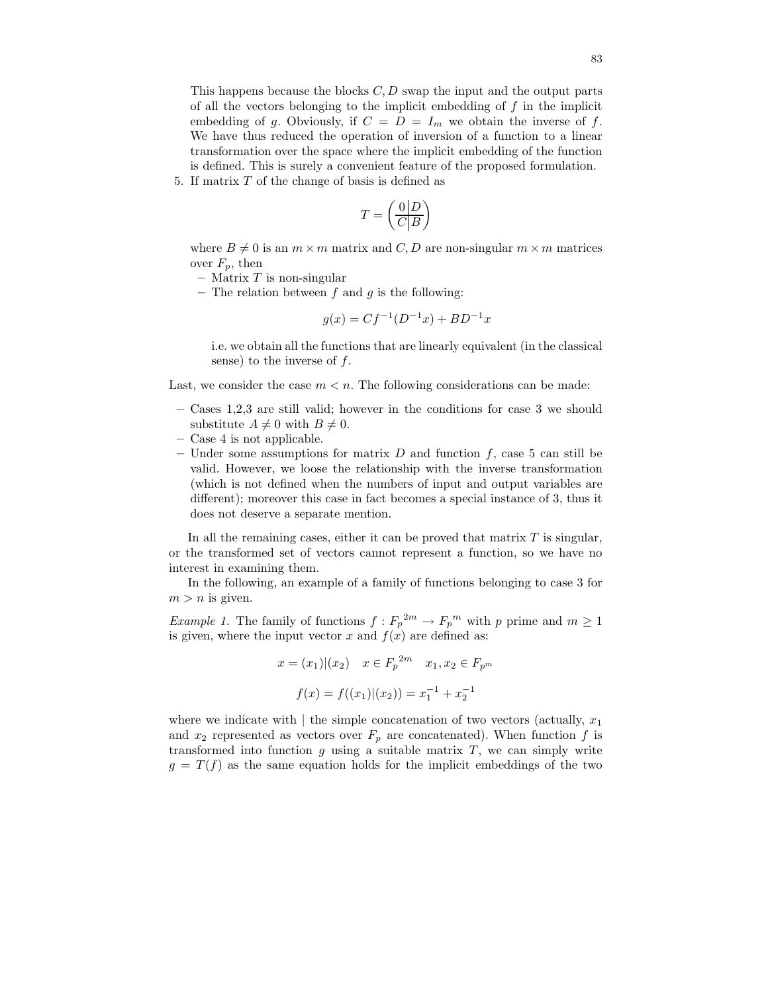This happens because the blocks  $C, D$  swap the input and the output parts of all the vectors belonging to the implicit embedding of  $f$  in the implicit embedding of g. Obviously, if  $C = D = I_m$  we obtain the inverse of f. We have thus reduced the operation of inversion of a function to a linear transformation over the space where the implicit embedding of the function is defined. This is surely a convenient feature of the proposed formulation.

5. If matrix T of the change of basis is defined as

$$
T = \left(\frac{0}{C|B}\right)
$$

where  $B \neq 0$  is an  $m \times m$  matrix and C, D are non-singular  $m \times m$  matrices over  $F_p$ , then

- Matrix  $T$  is non-singular
- The relation between  $f$  and  $g$  is the following:

$$
g(x) = Cf^{-1}(D^{-1}x) + BD^{-1}x
$$

i.e. we obtain all the functions that are linearly equivalent (in the classical sense) to the inverse of  $f$ .

Last, we consider the case  $m < n$ . The following considerations can be made:

- Cases 1,2,3 are still valid; however in the conditions for case 3 we should substitute  $A \neq 0$  with  $B \neq 0$ .
- Case 4 is not applicable.
- Under some assumptions for matrix  $D$  and function  $f$ , case 5 can still be valid. However, we loose the relationship with the inverse transformation (which is not defined when the numbers of input and output variables are different); moreover this case in fact becomes a special instance of 3, thus it does not deserve a separate mention.

In all the remaining cases, either it can be proved that matrix  $T$  is singular, or the transformed set of vectors cannot represent a function, so we have no interest in examining them.

In the following, an example of a family of functions belonging to case 3 for  $m > n$  is given.

*Example 1*. The family of functions  $f: F_p^{2m} \to F_p^{m}$  with p prime and  $m \geq 1$ is given, where the input vector x and  $f(x)$  are defined as:

$$
x = (x_1)|(x_2) \quad x \in F_p^{2m} \quad x_1, x_2 \in F_{p^m}
$$

$$
f(x) = f((x_1)|(x_2)) = x_1^{-1} + x_2^{-1}
$$

where we indicate with  $\vert$  the simple concatenation of two vectors (actually,  $x_1$ ) and  $x_2$  represented as vectors over  $F_p$  are concatenated). When function f is transformed into function  $g$  using a suitable matrix  $T$ , we can simply write  $g = T(f)$  as the same equation holds for the implicit embeddings of the two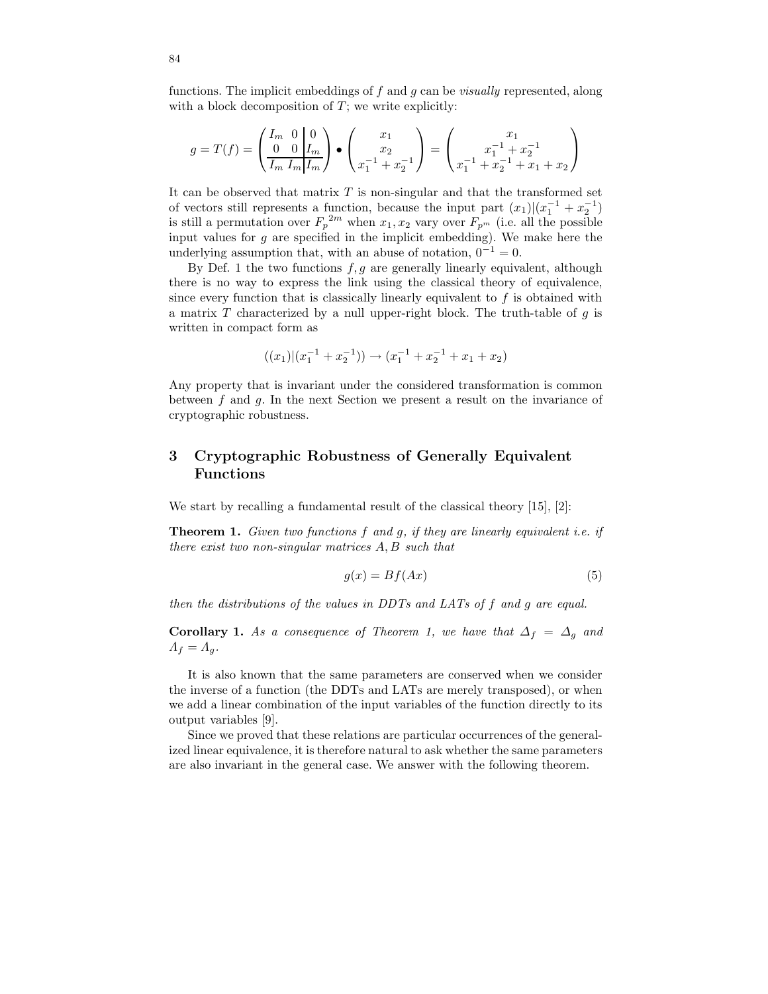functions. The implicit embeddings of  $f$  and  $g$  can be *visually* represented, along with a block decomposition of  $T$ ; we write explicitly:

$$
g = T(f) = \begin{pmatrix} I_m & 0 & 0 \\ 0 & 0 & I_m \\ \hline I_m & I_m \end{pmatrix} \bullet \begin{pmatrix} x_1 \\ x_2 \\ x_1^{-1} + x_2^{-1} \end{pmatrix} = \begin{pmatrix} x_1 \\ x_1^{-1} + x_2^{-1} \\ x_1^{-1} + x_2^{-1} + x_1 + x_2 \end{pmatrix}
$$

It can be observed that matrix  $T$  is non-singular and that the transformed set of vectors still represents a function, because the input part  $(x_1)| (x_1^{-1} + x_2^{-1})$ is still a permutation over  $F_p^{2m}$  when  $x_1, x_2$  vary over  $F_{p^m}$  (i.e. all the possible input values for  $g$  are specified in the implicit embedding). We make here the underlying assumption that, with an abuse of notation,  $0^{-1} = 0$ .

By Def. 1 the two functions  $f, g$  are generally linearly equivalent, although there is no way to express the link using the classical theory of equivalence, since every function that is classically linearly equivalent to  $f$  is obtained with a matrix T characterized by a null upper-right block. The truth-table of  $q$  is written in compact form as

$$
((x_1)|(x_1^{-1}+x_2^{-1}))\to (x_1^{-1}+x_2^{-1}+x_1+x_2)
$$

Any property that is invariant under the considered transformation is common between f and g. In the next Section we present a result on the invariance of cryptographic robustness.

# 3 Cryptographic Robustness of Generally Equivalent Functions

We start by recalling a fundamental result of the classical theory [15], [2]:

**Theorem 1.** Given two functions  $f$  and  $g$ , if they are linearly equivalent i.e. if there exist two non-singular matrices A, B such that

$$
g(x) = Bf(Ax) \tag{5}
$$

then the distributions of the values in DDTs and LATs of f and g are equal.

**Corollary 1.** As a consequence of Theorem 1, we have that  $\Delta_f = \Delta_g$  and  $\Lambda_f = \Lambda_g$ .

It is also known that the same parameters are conserved when we consider the inverse of a function (the DDTs and LATs are merely transposed), or when we add a linear combination of the input variables of the function directly to its output variables [9].

Since we proved that these relations are particular occurrences of the generalized linear equivalence, it is therefore natural to ask whether the same parameters are also invariant in the general case. We answer with the following theorem.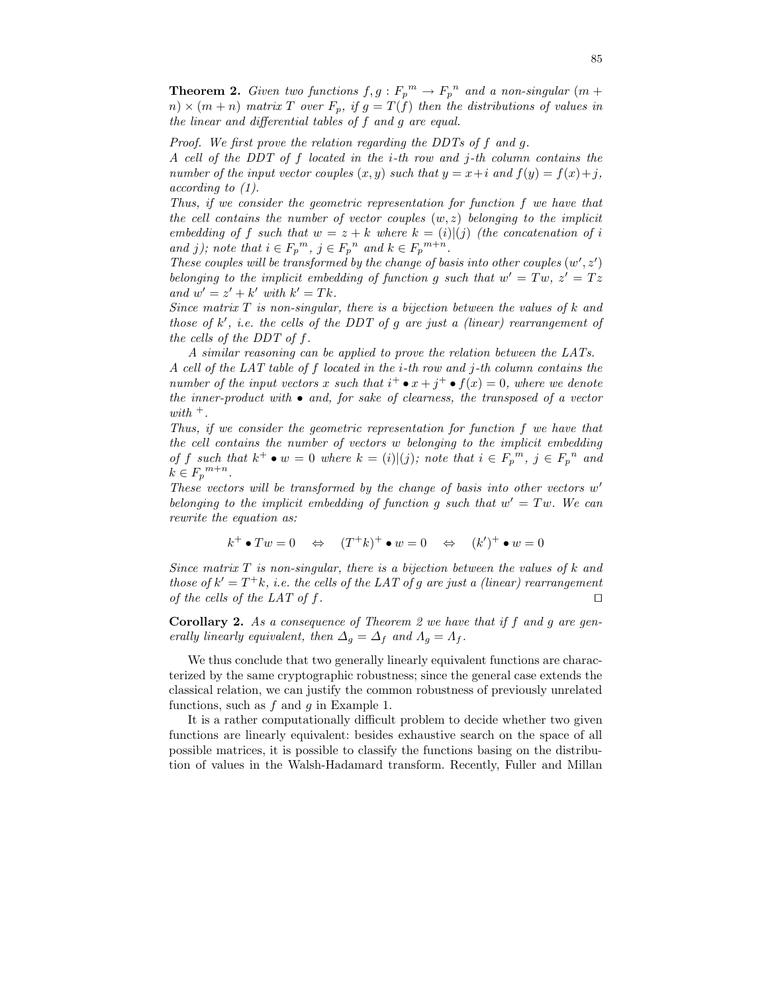**Theorem 2.** Given two functions  $f, g: F_p^m \to F_p^n$  and a non-singular  $(m +$  $n) \times (m + n)$  matrix T over  $F_p$ , if  $g = T(f)$  then the distributions of values in the linear and differential tables of f and g are equal.

Proof. We first prove the relation regarding the DDTs of f and g.

A cell of the DDT of f located in the i-th row and j-th column contains the number of the input vector couples  $(x, y)$  such that  $y = x + i$  and  $f(y) = f(x) + j$ , according to (1).

Thus, if we consider the geometric representation for function f we have that the cell contains the number of vector couples  $(w, z)$  belonging to the implicit embedding of f such that  $w = z + k$  where  $k = (i)(j)$  (the concatenation of i and j); note that  $i \in F_p^m$ ,  $j \in F_p^n$  and  $k \in F_p^{m+n}$ .

These couples will be transformed by the change of basis into other couples  $(w', z')$ belonging to the implicit embedding of function g such that  $w' = Tw$ ,  $z' = Tz$ and  $w' = z' + k'$  with  $k' = Tk$ .

Since matrix  $T$  is non-singular, there is a bijection between the values of  $k$  and those of  $k'$ , i.e. the cells of the DDT of g are just a (linear) rearrangement of the cells of the DDT of f.

A similar reasoning can be applied to prove the relation between the LATs. A cell of the LAT table of f located in the i-th row and j-th column contains the number of the input vectors x such that  $i^+ \bullet x + j^+ \bullet f(x) = 0$ , where we denote the inner-product with  $\bullet$  and, for sake of clearness, the transposed of a vector with  $+$ .

Thus, if we consider the geometric representation for function f we have that the cell contains the number of vectors w belonging to the implicit embedding of f such that  $k^+ \bullet w = 0$  where  $k = (i) | (j)$ ; note that  $i \in F_p^m$ ,  $j \in F_p^n$  and  $k \in F_p^{\ m+n}.$ 

These vectors will be transformed by the change of basis into other vectors  $w'$ belonging to the implicit embedding of function g such that  $w' = Tw$ . We can rewrite the equation as:

$$
k^+ \bullet Tw = 0 \quad \Leftrightarrow \quad (T^+k)^+ \bullet w = 0 \quad \Leftrightarrow \quad (k')^+ \bullet w = 0
$$

Since matrix  $T$  is non-singular, there is a bijection between the values of  $k$  and those of  $k' = T^+k$ , i.e. the cells of the LAT of g are just a (linear) rearrangement of the cells of the LAT of f.

**Corollary 2.** As a consequence of Theorem 2 we have that if  $f$  and  $g$  are generally linearly equivalent, then  $\Delta_g = \Delta_f$  and  $\Lambda_g = \Lambda_f$ .

We thus conclude that two generally linearly equivalent functions are characterized by the same cryptographic robustness; since the general case extends the classical relation, we can justify the common robustness of previously unrelated functions, such as  $f$  and  $g$  in Example 1.

It is a rather computationally difficult problem to decide whether two given functions are linearly equivalent: besides exhaustive search on the space of all possible matrices, it is possible to classify the functions basing on the distribution of values in the Walsh-Hadamard transform. Recently, Fuller and Millan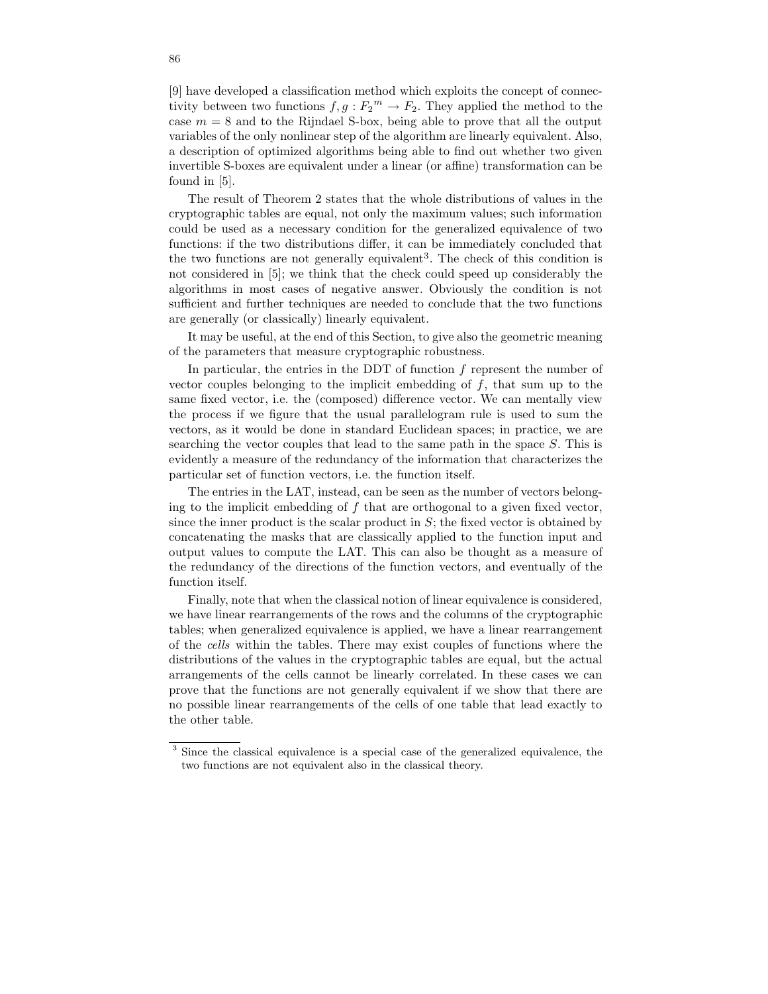[9] have developed a classification method which exploits the concept of connectivity between two functions  $f, g: F_2^m \to F_2$ . They applied the method to the case  $m = 8$  and to the Rijndael S-box, being able to prove that all the output variables of the only nonlinear step of the algorithm are linearly equivalent. Also, a description of optimized algorithms being able to find out whether two given invertible S-boxes are equivalent under a linear (or affine) transformation can be found in [5].

The result of Theorem 2 states that the whole distributions of values in the cryptographic tables are equal, not only the maximum values; such information could be used as a necessary condition for the generalized equivalence of two functions: if the two distributions differ, it can be immediately concluded that the two functions are not generally equivalent 3 . The check of this condition is not considered in [5]; we think that the check could speed up considerably the algorithms in most cases of negative answer. Obviously the condition is not sufficient and further techniques are needed to conclude that the two functions are generally (or classically) linearly equivalent.

It may be useful, at the end of this Section, to give also the geometric meaning of the parameters that measure cryptographic robustness.

In particular, the entries in the DDT of function  $f$  represent the number of vector couples belonging to the implicit embedding of  $f$ , that sum up to the same fixed vector, i.e. the (composed) difference vector. We can mentally view the process if we figure that the usual parallelogram rule is used to sum the vectors, as it would be done in standard Euclidean spaces; in practice, we are searching the vector couples that lead to the same path in the space S. This is evidently a measure of the redundancy of the information that characterizes the particular set of function vectors, i.e. the function itself.

The entries in the LAT, instead, can be seen as the number of vectors belonging to the implicit embedding of  $f$  that are orthogonal to a given fixed vector, since the inner product is the scalar product in  $S$ ; the fixed vector is obtained by concatenating the masks that are classically applied to the function input and output values to compute the LAT. This can also be thought as a measure of the redundancy of the directions of the function vectors, and eventually of the function itself.

Finally, note that when the classical notion of linear equivalence is considered, we have linear rearrangements of the rows and the columns of the cryptographic tables; when generalized equivalence is applied, we have a linear rearrangement of the cells within the tables. There may exist couples of functions where the distributions of the values in the cryptographic tables are equal, but the actual arrangements of the cells cannot be linearly correlated. In these cases we can prove that the functions are not generally equivalent if we show that there are no possible linear rearrangements of the cells of one table that lead exactly to the other table.

<sup>3</sup> Since the classical equivalence is a special case of the generalized equivalence, the two functions are not equivalent also in the classical theory.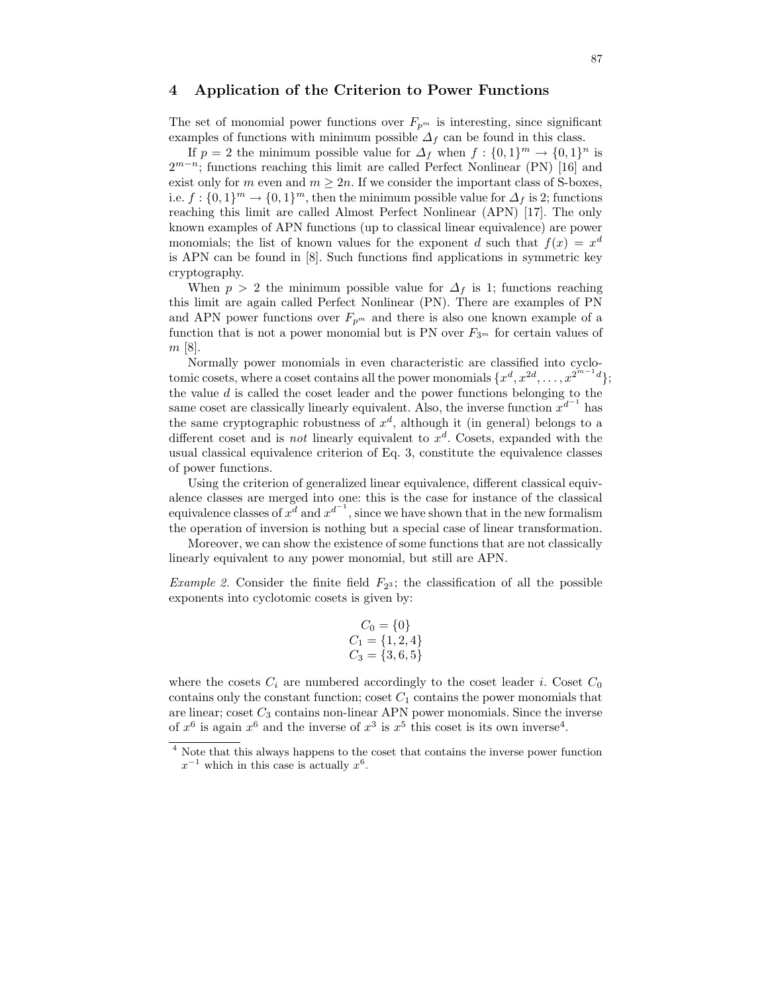## 4 Application of the Criterion to Power Functions

The set of monomial power functions over  $F_{p^m}$  is interesting, since significant examples of functions with minimum possible  $\Delta_f$  can be found in this class.

If  $p = 2$  the minimum possible value for  $\Delta_f$  when  $f: \{0,1\}^m \to \{0,1\}^n$  is  $2^{m-n}$ ; functions reaching this limit are called Perfect Nonlinear (PN) [16] and exist only for m even and  $m \geq 2n$ . If we consider the important class of S-boxes, i.e.  $f: \{0,1\}^m \to \{0,1\}^m$ , then the minimum possible value for  $\Delta_f$  is 2; functions reaching this limit are called Almost Perfect Nonlinear (APN) [17]. The only known examples of APN functions (up to classical linear equivalence) are power monomials; the list of known values for the exponent d such that  $f(x) = x^d$ is APN can be found in [8]. Such functions find applications in symmetric key cryptography.

When  $p > 2$  the minimum possible value for  $\Delta_f$  is 1; functions reaching this limit are again called Perfect Nonlinear (PN). There are examples of PN and APN power functions over  $F_{p^m}$  and there is also one known example of a function that is not a power monomial but is PN over  $F_{3<sup>m</sup>}$  for certain values of  $m$  [8].

Normally power monomials in even characteristic are classified into cyclotomic cosets, where a coset contains all the power monomials  $\{x^d, x^{2d}, \ldots, x^{2^{m-1}d}\}$ ; the value  $d$  is called the coset leader and the power functions belonging to the same coset are classically linearly equivalent. Also, the inverse function  $x^{d^{-1}}$  has the same cryptographic robustness of  $x^d$ , although it (in general) belongs to a different coset and is *not* linearly equivalent to  $x<sup>d</sup>$ . Cosets, expanded with the usual classical equivalence criterion of Eq. 3, constitute the equivalence classes of power functions.

Using the criterion of generalized linear equivalence, different classical equivalence classes are merged into one: this is the case for instance of the classical equivalence classes of  $x^d$  and  $x^{d^{-1}}$ , since we have shown that in the new formalism the operation of inversion is nothing but a special case of linear transformation.

Moreover, we can show the existence of some functions that are not classically linearly equivalent to any power monomial, but still are APN.

*Example 2.* Consider the finite field  $F_{2^3}$ ; the classification of all the possible exponents into cyclotomic cosets is given by:

$$
C_0 = \{0\}
$$
  
\n
$$
C_1 = \{1, 2, 4\}
$$
  
\n
$$
C_3 = \{3, 6, 5\}
$$

where the cosets  $C_i$  are numbered accordingly to the coset leader i. Coset  $C_0$ contains only the constant function; coset  $C_1$  contains the power monomials that are linear; coset  $C_3$  contains non-linear APN power monomials. Since the inverse of  $x^6$  is again  $x^6$  and the inverse of  $x^3$  is  $x^5$  this coset is its own inverse<sup>4</sup>.

<sup>4</sup> Note that this always happens to the coset that contains the inverse power function  $x^{-1}$  which in this case is actually  $x^6$ .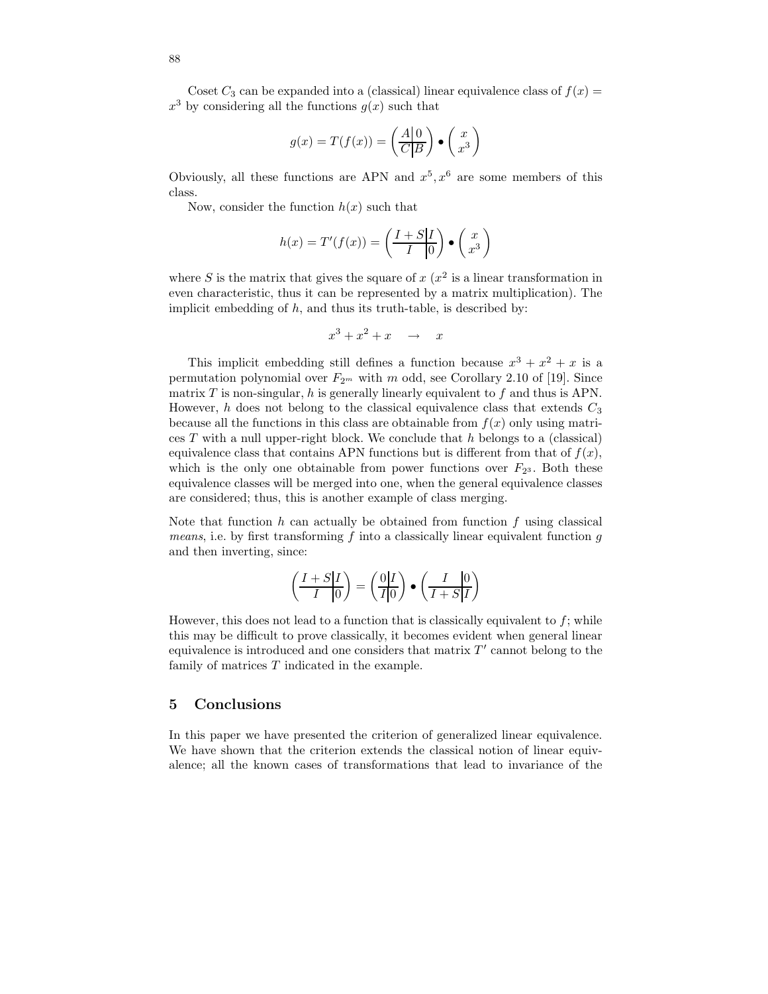Coset  $C_3$  can be expanded into a (classical) linear equivalence class of  $f(x)$  =  $x^3$  by considering all the functions  $g(x)$  such that

$$
g(x) = T(f(x)) = \left(\frac{A|0}{C|B}\right) \bullet \left(\frac{x}{x^3}\right)
$$

Obviously, all these functions are APN and  $x^5, x^6$  are some members of this class.

Now, consider the function  $h(x)$  such that

$$
h(x) = T'(f(x)) = \left(\frac{I + S|I}{I|0}\right) \bullet \left(\frac{x}{x^3}\right)
$$

where S is the matrix that gives the square of  $x(x^2)$  is a linear transformation in even characteristic, thus it can be represented by a matrix multiplication). The implicit embedding of  $h$ , and thus its truth-table, is described by:

$$
x^3 + x^2 + x \quad \to \quad x
$$

This implicit embedding still defines a function because  $x^3 + x^2 + x$  is a permutation polynomial over  $F_{2^m}$  with m odd, see Corollary 2.10 of [19]. Since matrix  $T$  is non-singular,  $h$  is generally linearly equivalent to  $f$  and thus is APN. However, h does not belong to the classical equivalence class that extends  $C_3$ because all the functions in this class are obtainable from  $f(x)$  only using matrices  $T$  with a null upper-right block. We conclude that  $h$  belongs to a (classical) equivalence class that contains APN functions but is different from that of  $f(x)$ , which is the only one obtainable from power functions over  $F_{23}$ . Both these equivalence classes will be merged into one, when the general equivalence classes are considered; thus, this is another example of class merging.

Note that function h can actually be obtained from function f using classical *means*, i.e. by first transforming  $f$  into a classically linear equivalent function  $g$ and then inverting, since:

$$
\left(\frac{I+S|I}{I|0}\right) = \left(\frac{0|I}{I|0}\right) \bullet \left(\frac{I|0}{I+S|I}\right)
$$

However, this does not lead to a function that is classically equivalent to  $f$ ; while this may be difficult to prove classically, it becomes evident when general linear equivalence is introduced and one considers that matrix  $T'$  cannot belong to the family of matrices T indicated in the example.

### 5 Conclusions

In this paper we have presented the criterion of generalized linear equivalence. We have shown that the criterion extends the classical notion of linear equivalence; all the known cases of transformations that lead to invariance of the